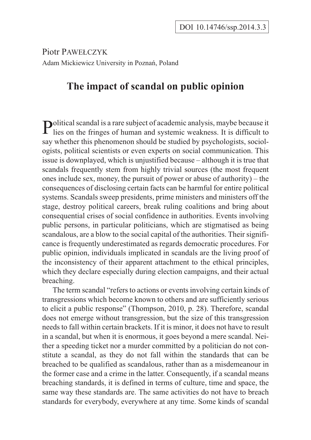Piotr PAWE£CZYK Adam Mickiewicz University in Poznañ, Poland

## **The impact of scandal on public opinion**

**Political scandal is a rare subject of academic analysis, maybe because it**  $\mathbf{P}$  lies on the fringes of human and systemic weakness. It is difficult to say whether this phenomenon should be studied by psychologists, sociologists, political scientists or even experts on social communication. This issue is downplayed, which is unjustified because – although it is true that scandals frequently stem from highly trivial sources (the most frequent ones include sex, money, the pursuit of power or abuse of authority) – the consequences of disclosing certain facts can be harmful for entire political systems. Scandals sweep presidents, prime ministers and ministers off the stage, destroy political careers, break ruling coalitions and bring about consequential crises of social confidence in authorities. Events involving public persons, in particular politicians, which are stigmatised as being scandalous, are a blow to the social capital of the authorities. Their significance is frequently underestimated as regards democratic procedures. For public opinion, individuals implicated in scandals are the living proof of the inconsistency of their apparent attachment to the ethical principles, which they declare especially during election campaigns, and their actual breaching.

The term scandal "refers to actions or events involving certain kinds of transgressions which become known to others and are sufficiently serious to elicit a public response" (Thompson, 2010, p. 28). Therefore, scandal does not emerge without transgression, but the size of this transgression needs to fall within certain brackets. If it is minor, it does not have to result in a scandal, but when it is enormous, it goes beyond a mere scandal. Neither a speeding ticket nor a murder committed by a politician do not constitute a scandal, as they do not fall within the standards that can be breached to be qualified as scandalous, rather than as a misdemeanour in the former case and a crime in the latter. Consequently, if a scandal means breaching standards, it is defined in terms of culture, time and space, the same way these standards are. The same activities do not have to breach standards for everybody, everywhere at any time. Some kinds of scandal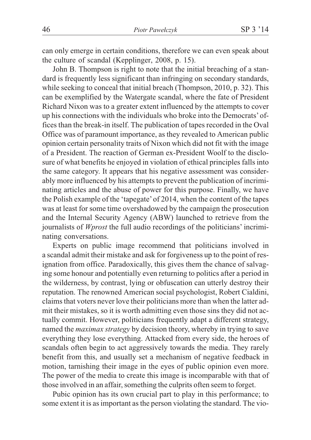can only emerge in certain conditions, therefore we can even speak about the culture of scandal (Kepplinger, 2008, p. 15).

John B. Thompson is right to note that the initial breaching of a standard is frequently less significant than infringing on secondary standards, while seeking to conceal that initial breach (Thompson, 2010, p. 32). This can be exemplified by the Watergate scandal, where the fate of President Richard Nixon was to a greater extent influenced by the attempts to cover up his connections with the individuals who broke into the Democrats' offices than the break-in itself. The publication of tapes recorded in the Oval Office was of paramount importance, as they revealed to American public opinion certain personality traits of Nixon which did not fit with the image of a President. The reaction of German ex-President Woolf to the disclosure of what benefits he enjoyed in violation of ethical principles falls into the same category. It appears that his negative assessment was considerably more influenced by his attempts to prevent the publication of incriminating articles and the abuse of power for this purpose. Finally, we have the Polish example of the 'tapegate'of 2014, when the content of the tapes was at least for some time overshadowed by the campaign the prosecution and the Internal Security Agency (ABW) launched to retrieve from the journalists of *Wprost* the full audio recordings of the politicians' incriminating conversations.

Experts on public image recommend that politicians involved in a scandal admit their mistake and ask for forgiveness up to the point of resignation from office. Paradoxically, this gives them the chance of salvaging some honour and potentially even returning to politics after a period in the wilderness, by contrast, lying or obfuscation can utterly destroy their reputation. The renowned American social psychologist, Robert Cialdini, claims that voters never love their politicians more than when the latter admit their mistakes, so it is worth admitting even those sins they did not actually commit. However, politicians frequently adapt a different strategy, named the *maximax strategy* by decision theory, whereby in trying to save everything they lose everything. Attacked from every side, the heroes of scandals often begin to act aggressively towards the media. They rarely benefit from this, and usually set a mechanism of negative feedback in motion, tarnishing their image in the eyes of public opinion even more. The power of the media to create this image is incomparable with that of those involved in an affair, something the culprits often seem to forget.

Pubic opinion has its own crucial part to play in this performance; to some extent it is as important as the person violating the standard. The vio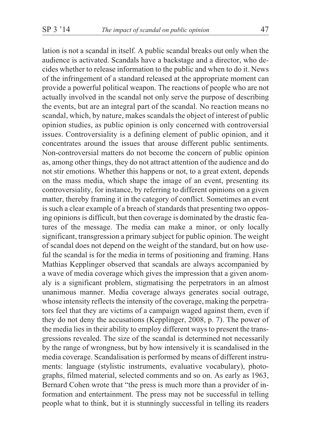lation is not a scandal in itself. A public scandal breaks out only when the audience is activated. Scandals have a backstage and a director, who decides whether to release information to the public and when to do it. News of the infringement of a standard released at the appropriate moment can provide a powerful political weapon. The reactions of people who are not actually involved in the scandal not only serve the purpose of describing the events, but are an integral part of the scandal. No reaction means no scandal, which, by nature, makes scandals the object of interest of public opinion studies, as public opinion is only concerned with controversial issues. Controversiality is a defining element of public opinion, and it concentrates around the issues that arouse different public sentiments. Non-controversial matters do not become the concern of public opinion as, among other things, they do not attract attention of the audience and do not stir emotions. Whether this happens or not, to a great extent, depends on the mass media, which shape the image of an event, presenting its controversiality, for instance, by referring to different opinions on a given matter, thereby framing it in the category of conflict. Sometimes an event is such a clear example of a breach of standards that presenting two opposing opinions is difficult, but then coverage is dominated by the drastic features of the message. The media can make a minor, or only locally significant, transgression a primary subject for public opinion. The weight of scandal does not depend on the weight of the standard, but on how useful the scandal is for the media in terms of positioning and framing. Hans Mathias Kepplinger observed that scandals are always accompanied by a wave of media coverage which gives the impression that a given anomaly is a significant problem, stigmatising the perpetrators in an almost unanimous manner. Media coverage always generates social outrage, whose intensity reflects the intensity of the coverage, making the perpetrators feel that they are victims of a campaign waged against them, even if they do not deny the accusations (Kepplinger, 2008, p. 7). The power of the media lies in their ability to employ different ways to present the transgressions revealed. The size of the scandal is determined not necessarily by the range of wrongness, but by how intensively it is scandalised in the media coverage. Scandalisation is performed by means of different instruments: language (stylistic instruments, evaluative vocabulary), photographs, filmed material, selected comments and so on. As early as 1963, Bernard Cohen wrote that "the press is much more than a provider of information and entertainment. The press may not be successful in telling people what to think, but it is stunningly successful in telling its readers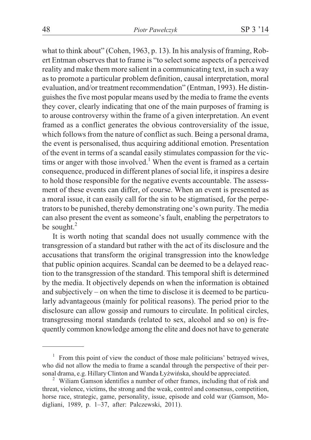what to think about" (Cohen, 1963, p. 13). In his analysis of framing, Robert Entman observes that to frame is "to select some aspects of a perceived reality and make them more salient in a communicating text, in such a way as to promote a particular problem definition, causal interpretation, moral evaluation, and/or treatment recommendation" (Entman, 1993). He distinguishes the five most popular means used by the media to frame the events they cover, clearly indicating that one of the main purposes of framing is to arouse controversy within the frame of a given interpretation. An event framed as a conflict generates the obvious controversiality of the issue, which follows from the nature of conflict as such. Being a personal drama, the event is personalised, thus acquiring additional emotion. Presentation of the event in terms of a scandal easily stimulates compassion for the victims or anger with those involved.<sup>1</sup> When the event is framed as a certain consequence, produced in different planes of social life, it inspires a desire to hold those responsible for the negative events accountable. The assessment of these events can differ, of course. When an event is presented as a moral issue, it can easily call for the sin to be stigmatised, for the perpetrators to be punished, thereby demonstrating one's own purity. The media can also present the event as someone's fault, enabling the perpetrators to be sought. $^{2}$ 

It is worth noting that scandal does not usually commence with the transgression of a standard but rather with the act of its disclosure and the accusations that transform the original transgression into the knowledge that public opinion acquires. Scandal can be deemed to be a delayed reaction to the transgression of the standard. This temporal shift is determined by the media. It objectively depends on when the information is obtained and subjectively – on when the time to disclose it is deemed to be particularly advantageous (mainly for political reasons). The period prior to the disclosure can allow gossip and rumours to circulate. In political circles, transgressing moral standards (related to sex, alcohol and so on) is frequently common knowledge among the elite and does not have to generate

 $1$  From this point of view the conduct of those male politicians' betrayed wives, who did not allow the media to frame a scandal through the perspective of their personal drama, e.g. Hillary Clinton and Wanda Łyżwińska, should be appreciated.<br><sup>2</sup> Wiliam Gamson identifies a number of other frames, including that of risk and

threat, violence, victims, the strong and the weak, control and consensus, competition, horse race, strategic, game, personality, issue, episode and cold war (Gamson, Modigliani, 1989, p. 1–37, after: Palczewski, 2011).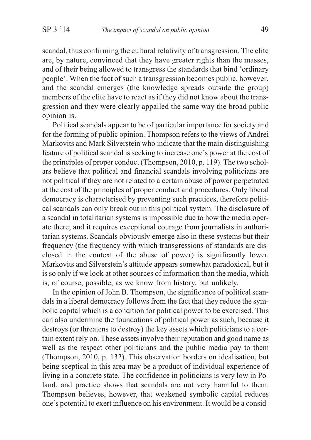scandal, thus confirming the cultural relativity of transgression. The elite are, by nature, convinced that they have greater rights than the masses, and of their being allowed to transgress the standards that bind 'ordinary people'. When the fact of such a transgression becomes public, however, and the scandal emerges (the knowledge spreads outside the group) members of the elite have to react as if they did not know about the transgression and they were clearly appalled the same way the broad public opinion is.

Political scandals appear to be of particular importance for society and for the forming of public opinion. Thompson refers to the views of Andrei Markovits and Mark Silverstein who indicate that the main distinguishing feature of political scandal is seeking to increase one's power at the cost of the principles of proper conduct (Thompson, 2010, p. 119). The two scholars believe that political and financial scandals involving politicians are not political if they are not related to a certain abuse of power perpetrated at the cost of the principles of proper conduct and procedures. Only liberal democracy is characterised by preventing such practices, therefore political scandals can only break out in this political system. The disclosure of a scandal in totalitarian systems is impossible due to how the media operate there; and it requires exceptional courage from journalists in authoritarian systems. Scandals obviously emerge also in these systems but their frequency (the frequency with which transgressions of standards are disclosed in the context of the abuse of power) is significantly lower. Markovits and Silverstein's attitude appears somewhat paradoxical, but it is so only if we look at other sources of information than the media, which is, of course, possible, as we know from history, but unlikely.

In the opinion of John B. Thompson, the significance of political scandals in a liberal democracy follows from the fact that they reduce the symbolic capital which is a condition for political power to be exercised. This can also undermine the foundations of political power as such, because it destroys (or threatens to destroy) the key assets which politicians to a certain extent rely on. These assets involve their reputation and good name as well as the respect other politicians and the public media pay to them (Thompson, 2010, p. 132). This observation borders on idealisation, but being sceptical in this area may be a product of individual experience of living in a concrete state. The confidence in politicians is very low in Poland, and practice shows that scandals are not very harmful to them. Thompson believes, however, that weakened symbolic capital reduces one's potential to exert influence on his environment. It would be a consid-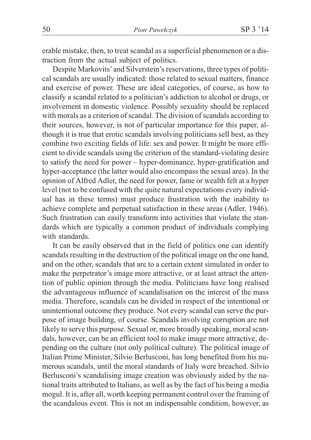erable mistake, then, to treat scandal as a superficial phenomenon or a distraction from the actual subject of politics.

Despite Markovits'and Silverstein's reservations, three types of political scandals are usually indicated: those related to sexual matters, finance and exercise of power. These are ideal categories, of course, as how to classify a scandal related to a politician's addiction to alcohol or drugs, or involvement in domestic violence. Possibly sexuality should be replaced with morals as a criterion of scandal. The division of scandals according to their sources, however, is not of particular importance for this paper, although it is true that erotic scandals involving politicians sell best, as they combine two exciting fields of life: sex and power. It might be more efficient to divide scandals using the criterion of the standard-violating desire to satisfy the need for power – hyper-dominance, hyper-gratification and hyper-acceptance (the latter would also encompass the sexual area). In the opinion of Alfred Adler, the need for power, fame or wealth felt at a hyper level (not to be confused with the quite natural expectations every individual has in these terms) must produce frustration with the inability to achieve complete and perpetual satisfaction in these areas (Adler, 1946). Such frustration can easily transform into activities that violate the standards which are typically a common product of individuals complying with standards.

It can be easily observed that in the field of politics one can identify scandals resulting in the destruction of the political image on the one hand, and on the other, scandals that are to a certain extent simulated in order to make the perpetrator's image more attractive, or at least attract the attention of public opinion through the media. Politicians have long realised the advantageous influence of scandalisation on the interest of the mass media. Therefore, scandals can be divided in respect of the intentional or unintentional outcome they produce. Not every scandal can serve the purpose of image building, of course. Scandals involving corruption are not likely to serve this purpose. Sexual or, more broadly speaking, moral scandals, however, can be an efficient tool to make image more attractive, depending on the culture (not only political culture). The political image of Italian Prime Minister, Silvio Berlusconi, has long benefited from his numerous scandals, until the moral standards of Italy were breached. Silvio Berlusconi's scandalising image creation was obviously aided by the national traits attributed to Italians, as well as by the fact of his being a media mogul. It is, after all, worth keeping permanent control over the framing of the scandalous event. This is not an indispensable condition, however, as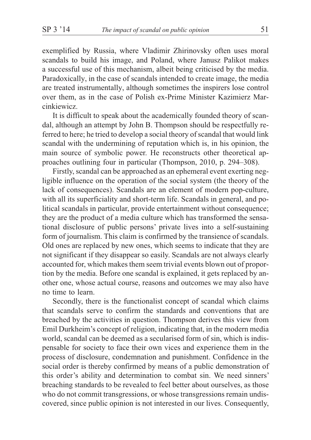exemplified by Russia, where Vladimir Zhirinovsky often uses moral scandals to build his image, and Poland, where Janusz Palikot makes a successful use of this mechanism, albeit being criticised by the media. Paradoxically, in the case of scandals intended to create image, the media are treated instrumentally, although sometimes the inspirers lose control over them, as in the case of Polish ex-Prime Minister Kazimierz Marcinkiewicz.

It is difficult to speak about the academically founded theory of scandal, although an attempt by John B. Thompson should be respectfully referred to here; he tried to develop a social theory of scandal that would link scandal with the undermining of reputation which is, in his opinion, the main source of symbolic power. He reconstructs other theoretical approaches outlining four in particular (Thompson, 2010, p. 294–308).

Firstly, scandal can be approached as an ephemeral event exerting negligible influence on the operation of the social system (the theory of the lack of consequences). Scandals are an element of modern pop-culture, with all its superficiality and short-term life. Scandals in general, and political scandals in particular, provide entertainment without consequence; they are the product of a media culture which has transformed the sensational disclosure of public persons' private lives into a self-sustaining form of journalism. This claim is confirmed by the transience of scandals. Old ones are replaced by new ones, which seems to indicate that they are not significant if they disappear so easily. Scandals are not always clearly accounted for, which makes them seem trivial events blown out of proportion by the media. Before one scandal is explained, it gets replaced by another one, whose actual course, reasons and outcomes we may also have no time to learn.

Secondly, there is the functionalist concept of scandal which claims that scandals serve to confirm the standards and conventions that are breached by the activities in question. Thompson derives this view from Emil Durkheim's concept of religion, indicating that, in the modern media world, scandal can be deemed as a secularised form of sin, which is indispensable for society to face their own vices and experience them in the process of disclosure, condemnation and punishment. Confidence in the social order is thereby confirmed by means of a public demonstration of this order's ability and determination to combat sin. We need sinners' breaching standards to be revealed to feel better about ourselves, as those who do not commit transgressions, or whose transgressions remain undiscovered, since public opinion is not interested in our lives. Consequently,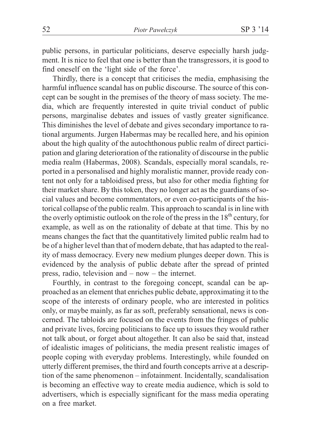public persons, in particular politicians, deserve especially harsh judgment. It is nice to feel that one is better than the transgressors, it is good to find oneself on the 'light side of the force'.

Thirdly, there is a concept that criticises the media, emphasising the harmful influence scandal has on public discourse. The source of this concept can be sought in the premises of the theory of mass society. The media, which are frequently interested in quite trivial conduct of public persons, marginalise debates and issues of vastly greater significance. This diminishes the level of debate and gives secondary importance to rational arguments. Jurgen Habermas may be recalled here, and his opinion about the high quality of the autochthonous public realm of direct participation and glaring deterioration of the rationality of discourse in the public media realm (Habermas, 2008). Scandals, especially moral scandals, reported in a personalised and highly moralistic manner, provide ready content not only for a tabloidised press, but also for other media fighting for their market share. By this token, they no longer act as the guardians of social values and become commentators, or even co-participants of the historical collapse of the public realm. This approach to scandal is in line with the overly optimistic outlook on the role of the press in the  $18<sup>th</sup>$  century, for example, as well as on the rationality of debate at that time. This by no means changes the fact that the quantitatively limited public realm had to be of a higher level than that of modern debate, that has adapted to the reality of mass democracy. Every new medium plunges deeper down. This is evidenced by the analysis of public debate after the spread of printed press, radio, television and – now – the internet.

Fourthly, in contrast to the foregoing concept, scandal can be approached as an element that enriches public debate, approximating it to the scope of the interests of ordinary people, who are interested in politics only, or maybe mainly, as far as soft, preferably sensational, news is concerned. The tabloids are focused on the events from the fringes of public and private lives, forcing politicians to face up to issues they would rather not talk about, or forget about altogether. It can also be said that, instead of idealistic images of politicians, the media present realistic images of people coping with everyday problems. Interestingly, while founded on utterly different premises, the third and fourth concepts arrive at a description of the same phenomenon – infotainment. Incidentally, scandalisation is becoming an effective way to create media audience, which is sold to advertisers, which is especially significant for the mass media operating on a free market.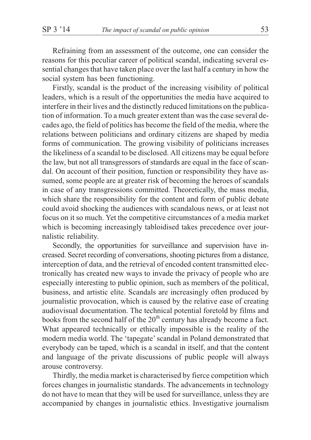Refraining from an assessment of the outcome, one can consider the reasons for this peculiar career of political scandal, indicating several essential changes that have taken place over the last half a century in how the social system has been functioning.

Firstly, scandal is the product of the increasing visibility of political leaders, which is a result of the opportunities the media have acquired to interfere in their lives and the distinctly reduced limitations on the publication of information. To a much greater extent than was the case several decades ago, the field of politics has become the field of the media, where the relations between politicians and ordinary citizens are shaped by media forms of communication. The growing visibility of politicians increases the likeliness of a scandal to be disclosed. All citizens may be equal before the law, but not all transgressors of standards are equal in the face of scandal. On account of their position, function or responsibility they have assumed, some people are at greater risk of becoming the heroes of scandals in case of any transgressions committed. Theoretically, the mass media, which share the responsibility for the content and form of public debate could avoid shocking the audiences with scandalous news, or at least not focus on it so much. Yet the competitive circumstances of a media market which is becoming increasingly tabloidised takes precedence over journalistic reliability.

Secondly, the opportunities for surveillance and supervision have increased. Secret recording of conversations, shooting pictures from a distance, interception of data, and the retrieval of encoded content transmitted electronically has created new ways to invade the privacy of people who are especially interesting to public opinion, such as members of the political, business, and artistic elite. Scandals are increasingly often produced by journalistic provocation, which is caused by the relative ease of creating audiovisual documentation. The technical potential foretold by films and books from the second half of the  $20<sup>th</sup>$  century has already become a fact. What appeared technically or ethically impossible is the reality of the modern media world. The 'tapegate' scandal in Poland demonstrated that everybody can be taped, which is a scandal in itself, and that the content and language of the private discussions of public people will always arouse controversy.

Thirdly, the media market is characterised by fierce competition which forces changes in journalistic standards. The advancements in technology do not have to mean that they will be used for surveillance, unless they are accompanied by changes in journalistic ethics. Investigative journalism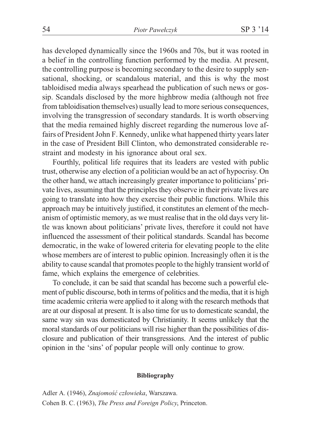has developed dynamically since the 1960s and 70s, but it was rooted in a belief in the controlling function performed by the media. At present, the controlling purpose is becoming secondary to the desire to supply sensational, shocking, or scandalous material, and this is why the most tabloidised media always spearhead the publication of such news or gossip. Scandals disclosed by the more highbrow media (although not free from tabloidisation themselves) usually lead to more serious consequences, involving the transgression of secondary standards. It is worth observing that the media remained highly discreet regarding the numerous love affairs of President John F. Kennedy, unlike what happened thirty years later in the case of President Bill Clinton, who demonstrated considerable restraint and modesty in his ignorance about oral sex.

Fourthly, political life requires that its leaders are vested with public trust, otherwise any election of a politician would be an act of hypocrisy. On the other hand, we attach increasingly greater importance to politicians'private lives, assuming that the principles they observe in their private lives are going to translate into how they exercise their public functions. While this approach may be intuitively justified, it constitutes an element of the mechanism of optimistic memory, as we must realise that in the old days very little was known about politicians' private lives, therefore it could not have influenced the assessment of their political standards. Scandal has become democratic, in the wake of lowered criteria for elevating people to the elite whose members are of interest to public opinion. Increasingly often it is the ability to cause scandal that promotes people to the highly transient world of fame, which explains the emergence of celebrities.

To conclude, it can be said that scandal has become such a powerful element of public discourse, both in terms of politics and the media, that it is high time academic criteria were applied to it along with the research methods that are at our disposal at present. It is also time for us to domesticate scandal, the same way sin was domesticated by Christianity. It seems unlikely that the moral standards of our politicians will rise higher than the possibilities of disclosure and publication of their transgressions. And the interest of public opinion in the 'sins' of popular people will only continue to grow.

## **Bibliography**

Adler A. (1946), *Znajomość człowieka*, Warszawa. Cohen B. C. (1963), *The Press and Foreign Policy*, Princeton.